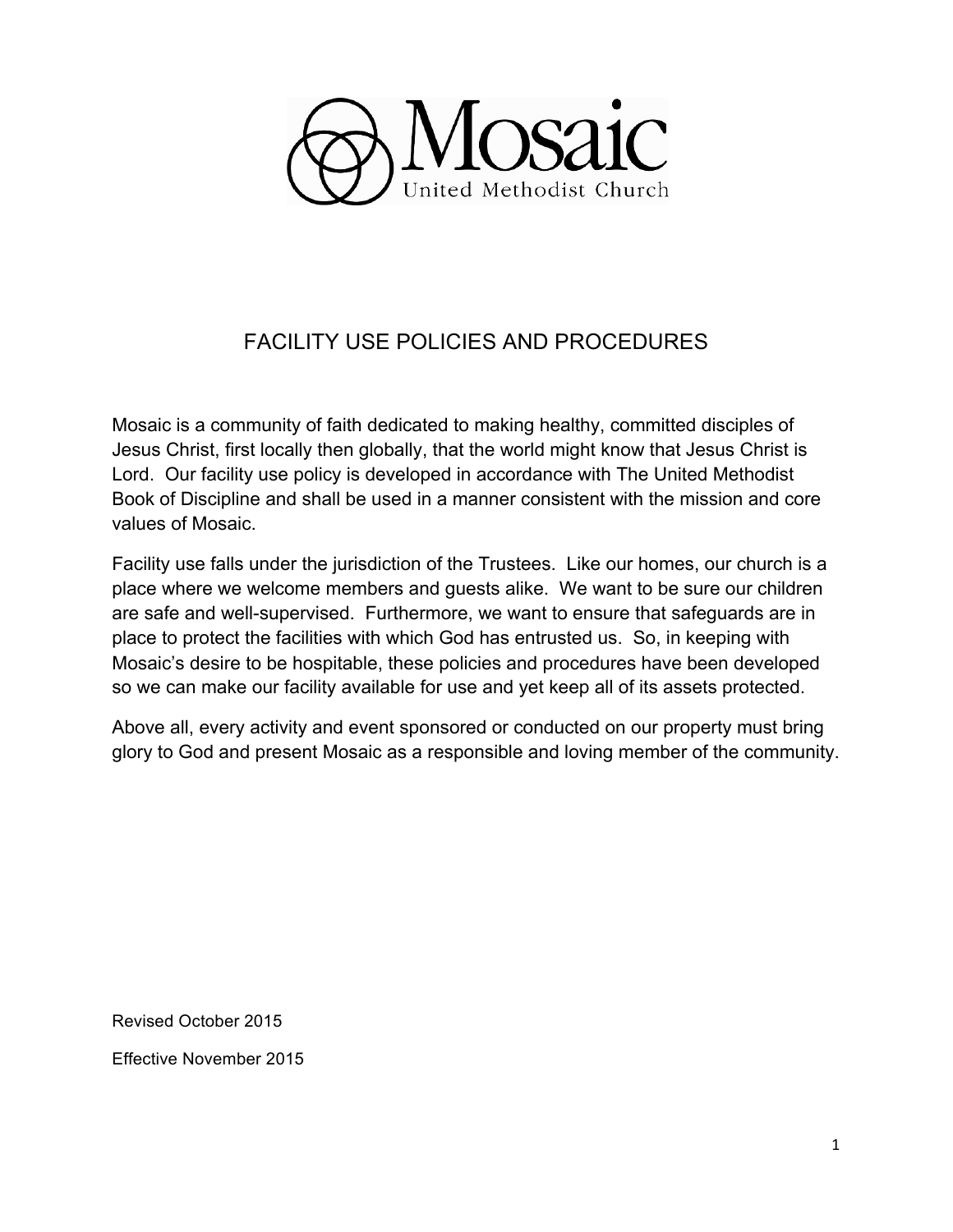

# FACILITY USE POLICIES AND PROCEDURES

Mosaic is a community of faith dedicated to making healthy, committed disciples of Jesus Christ, first locally then globally, that the world might know that Jesus Christ is Lord. Our facility use policy is developed in accordance with The United Methodist Book of Discipline and shall be used in a manner consistent with the mission and core values of Mosaic.

Facility use falls under the jurisdiction of the Trustees. Like our homes, our church is a place where we welcome members and guests alike. We want to be sure our children are safe and well-supervised. Furthermore, we want to ensure that safeguards are in place to protect the facilities with which God has entrusted us. So, in keeping with Mosaic's desire to be hospitable, these policies and procedures have been developed so we can make our facility available for use and yet keep all of its assets protected.

Above all, every activity and event sponsored or conducted on our property must bring glory to God and present Mosaic as a responsible and loving member of the community.

Revised October 2015

Effective November 2015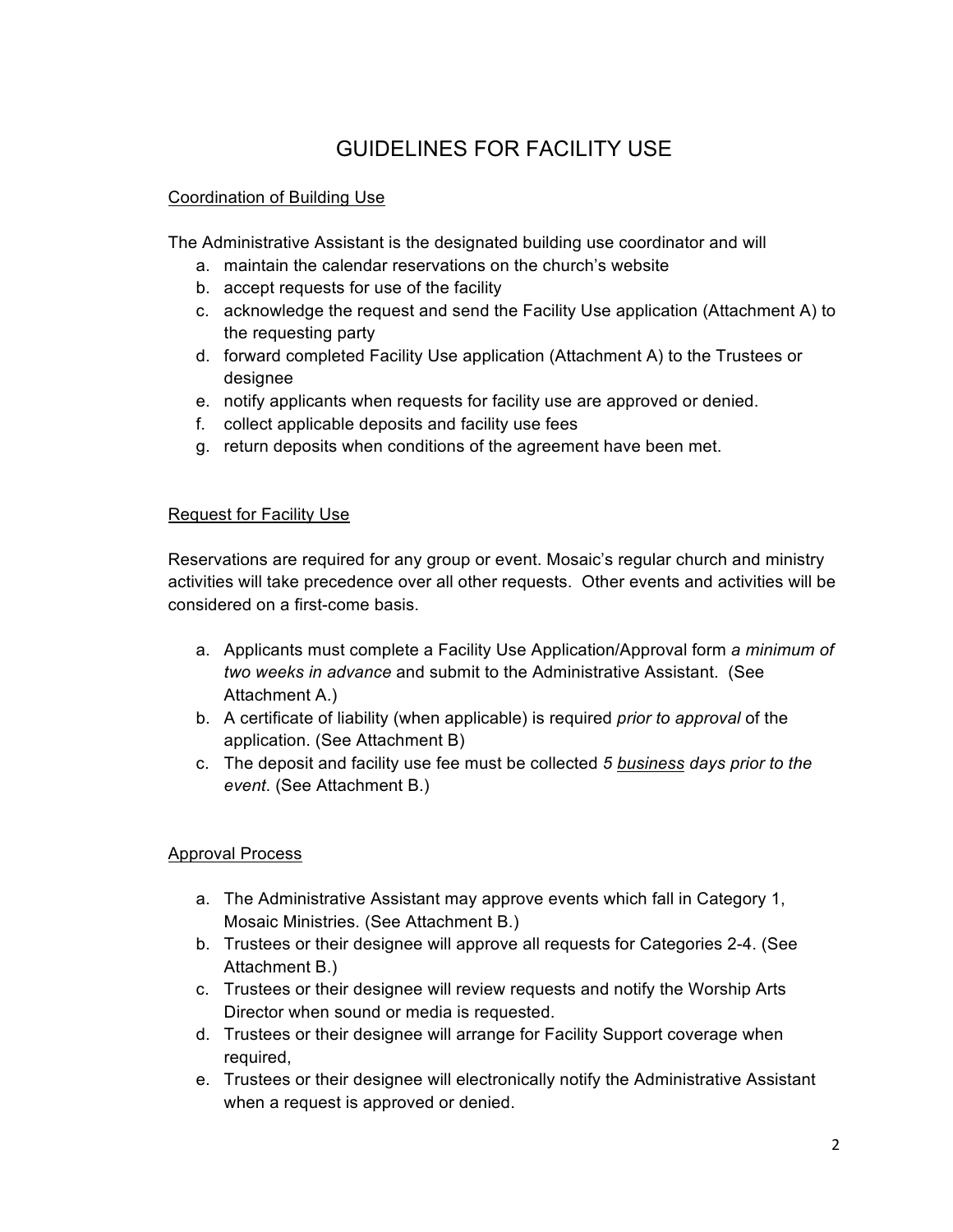# GUIDELINES FOR FACILITY USE

# Coordination of Building Use

The Administrative Assistant is the designated building use coordinator and will

- a. maintain the calendar reservations on the church's website
- b. accept requests for use of the facility
- c. acknowledge the request and send the Facility Use application (Attachment A) to the requesting party
- d. forward completed Facility Use application (Attachment A) to the Trustees or designee
- e. notify applicants when requests for facility use are approved or denied.
- f. collect applicable deposits and facility use fees
- g. return deposits when conditions of the agreement have been met.

# Request for Facility Use

Reservations are required for any group or event. Mosaic's regular church and ministry activities will take precedence over all other requests. Other events and activities will be considered on a first-come basis.

- a. Applicants must complete a Facility Use Application/Approval form *a minimum of two weeks in advance* and submit to the Administrative Assistant. (See Attachment A.)
- b. A certificate of liability (when applicable) is required *prior to approval* of the application. (See Attachment B)
- c. The deposit and facility use fee must be collected *5 business days prior to the event*. (See Attachment B.)

# Approval Process

- a. The Administrative Assistant may approve events which fall in Category 1, Mosaic Ministries. (See Attachment B.)
- b. Trustees or their designee will approve all requests for Categories 2-4. (See Attachment B.)
- c. Trustees or their designee will review requests and notify the Worship Arts Director when sound or media is requested.
- d. Trustees or their designee will arrange for Facility Support coverage when required,
- e. Trustees or their designee will electronically notify the Administrative Assistant when a request is approved or denied.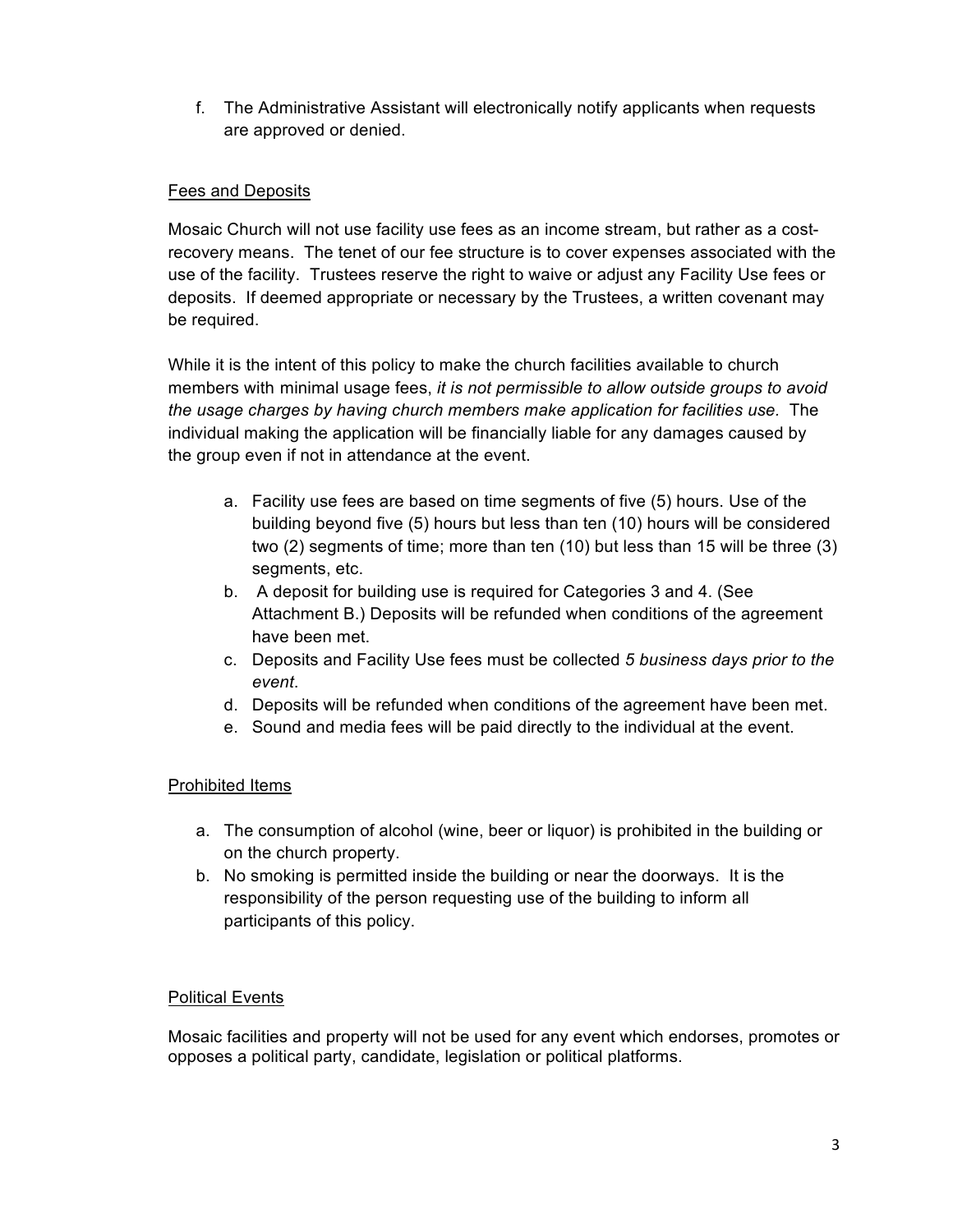f. The Administrative Assistant will electronically notify applicants when requests are approved or denied.

## Fees and Deposits

Mosaic Church will not use facility use fees as an income stream, but rather as a costrecovery means. The tenet of our fee structure is to cover expenses associated with the use of the facility. Trustees reserve the right to waive or adjust any Facility Use fees or deposits. If deemed appropriate or necessary by the Trustees, a written covenant may be required.

While it is the intent of this policy to make the church facilities available to church members with minimal usage fees, *it is not permissible to allow outside groups to avoid the usage charges by having church members make application for facilities use.* The individual making the application will be financially liable for any damages caused by the group even if not in attendance at the event.

- a. Facility use fees are based on time segments of five (5) hours. Use of the building beyond five (5) hours but less than ten (10) hours will be considered two (2) segments of time; more than ten (10) but less than 15 will be three (3) segments, etc.
- b. A deposit for building use is required for Categories 3 and 4. (See Attachment B.) Deposits will be refunded when conditions of the agreement have been met.
- c. Deposits and Facility Use fees must be collected *5 business days prior to the event*.
- d. Deposits will be refunded when conditions of the agreement have been met.
- e. Sound and media fees will be paid directly to the individual at the event.

### Prohibited Items

- a. The consumption of alcohol (wine, beer or liquor) is prohibited in the building or on the church property.
- b. No smoking is permitted inside the building or near the doorways. It is the responsibility of the person requesting use of the building to inform all participants of this policy.

### Political Events

Mosaic facilities and property will not be used for any event which endorses, promotes or opposes a political party, candidate, legislation or political platforms.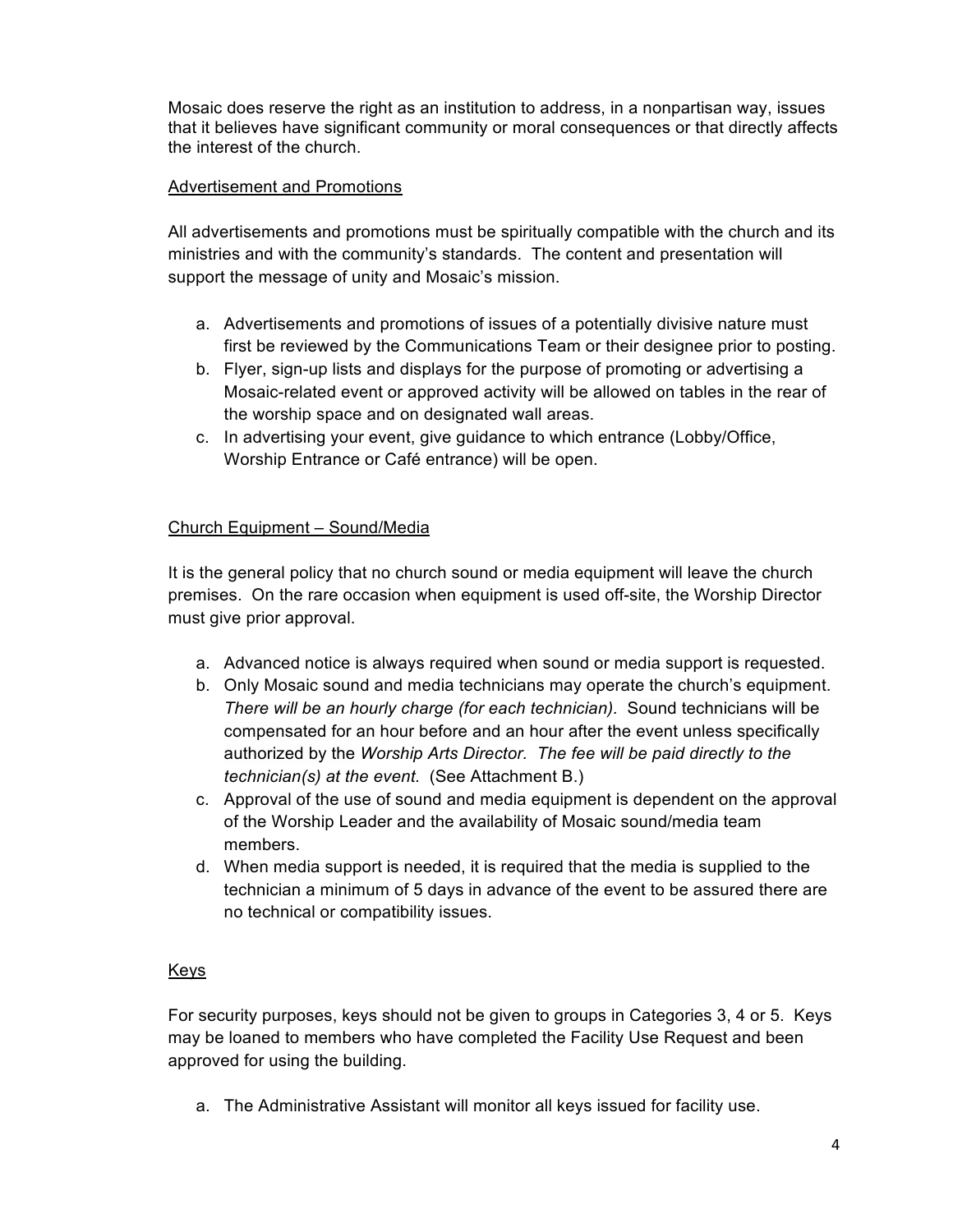Mosaic does reserve the right as an institution to address, in a nonpartisan way, issues that it believes have significant community or moral consequences or that directly affects the interest of the church.

### Advertisement and Promotions

All advertisements and promotions must be spiritually compatible with the church and its ministries and with the community's standards. The content and presentation will support the message of unity and Mosaic's mission.

- a. Advertisements and promotions of issues of a potentially divisive nature must first be reviewed by the Communications Team or their designee prior to posting.
- b. Flyer, sign-up lists and displays for the purpose of promoting or advertising a Mosaic-related event or approved activity will be allowed on tables in the rear of the worship space and on designated wall areas.
- c. In advertising your event, give guidance to which entrance (Lobby/Office, Worship Entrance or Café entrance) will be open.

## Church Equipment – Sound/Media

It is the general policy that no church sound or media equipment will leave the church premises. On the rare occasion when equipment is used off-site, the Worship Director must give prior approval.

- a. Advanced notice is always required when sound or media support is requested.
- b. Only Mosaic sound and media technicians may operate the church's equipment. *There will be an hourly charge (for each technician).* Sound technicians will be compensated for an hour before and an hour after the event unless specifically authorized by the *Worship Arts Director. The fee will be paid directly to the technician(s) at the event.* (See Attachment B.)
- c. Approval of the use of sound and media equipment is dependent on the approval of the Worship Leader and the availability of Mosaic sound/media team members.
- d. When media support is needed, it is required that the media is supplied to the technician a minimum of 5 days in advance of the event to be assured there are no technical or compatibility issues.

### Keys

For security purposes, keys should not be given to groups in Categories 3, 4 or 5. Keys may be loaned to members who have completed the Facility Use Request and been approved for using the building.

a. The Administrative Assistant will monitor all keys issued for facility use.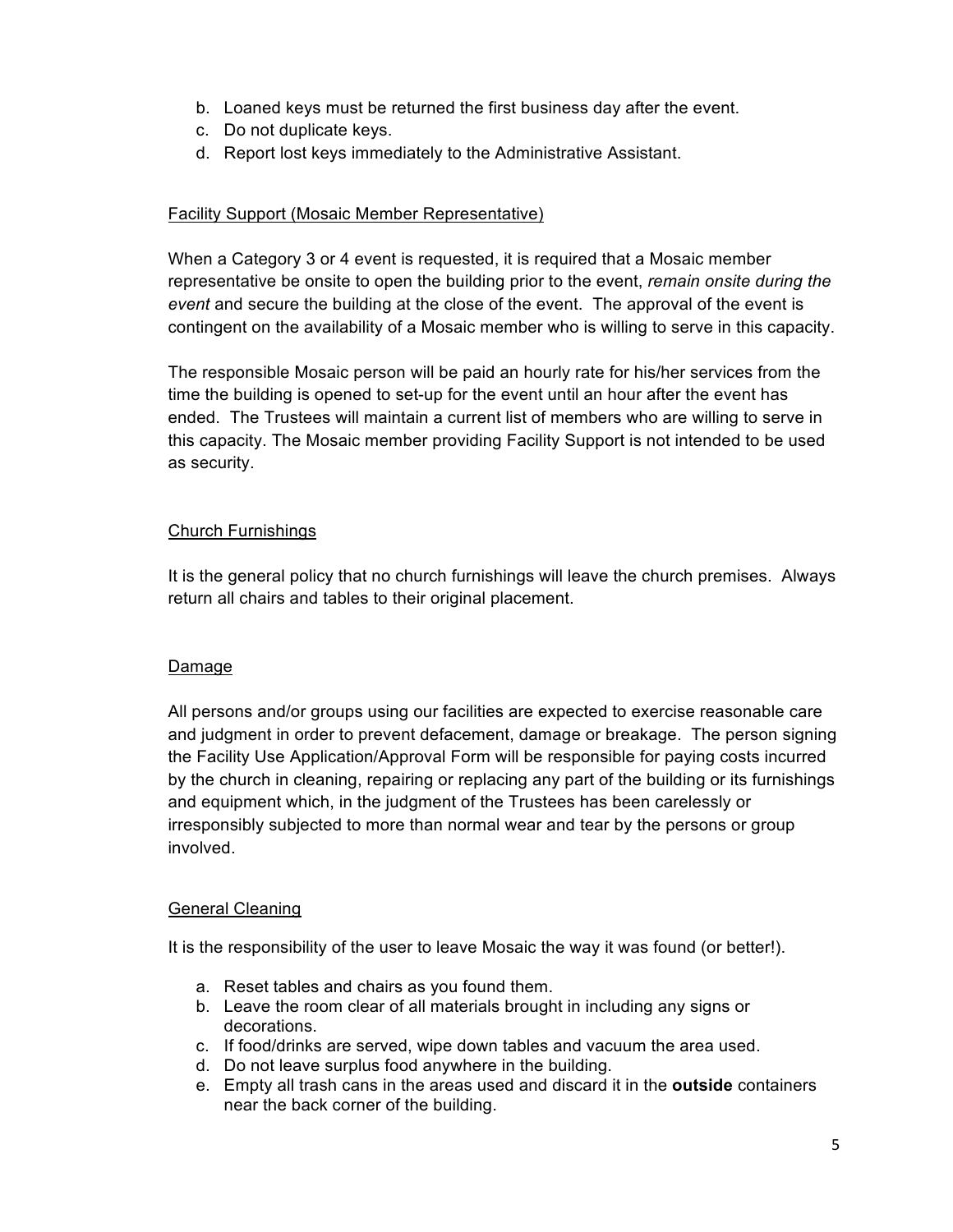- b. Loaned keys must be returned the first business day after the event.
- c. Do not duplicate keys.
- d. Report lost keys immediately to the Administrative Assistant.

## Facility Support (Mosaic Member Representative)

When a Category 3 or 4 event is requested, it is required that a Mosaic member representative be onsite to open the building prior to the event, *remain onsite during the event* and secure the building at the close of the event. The approval of the event is contingent on the availability of a Mosaic member who is willing to serve in this capacity.

The responsible Mosaic person will be paid an hourly rate for his/her services from the time the building is opened to set-up for the event until an hour after the event has ended. The Trustees will maintain a current list of members who are willing to serve in this capacity. The Mosaic member providing Facility Support is not intended to be used as security.

## Church Furnishings

It is the general policy that no church furnishings will leave the church premises. Always return all chairs and tables to their original placement.

### Damage

All persons and/or groups using our facilities are expected to exercise reasonable care and judgment in order to prevent defacement, damage or breakage. The person signing the Facility Use Application/Approval Form will be responsible for paying costs incurred by the church in cleaning, repairing or replacing any part of the building or its furnishings and equipment which, in the judgment of the Trustees has been carelessly or irresponsibly subjected to more than normal wear and tear by the persons or group involved.

### General Cleaning

It is the responsibility of the user to leave Mosaic the way it was found (or better!).

- a. Reset tables and chairs as you found them.
- b. Leave the room clear of all materials brought in including any signs or decorations.
- c. If food/drinks are served, wipe down tables and vacuum the area used.
- d. Do not leave surplus food anywhere in the building.
- e. Empty all trash cans in the areas used and discard it in the **outside** containers near the back corner of the building.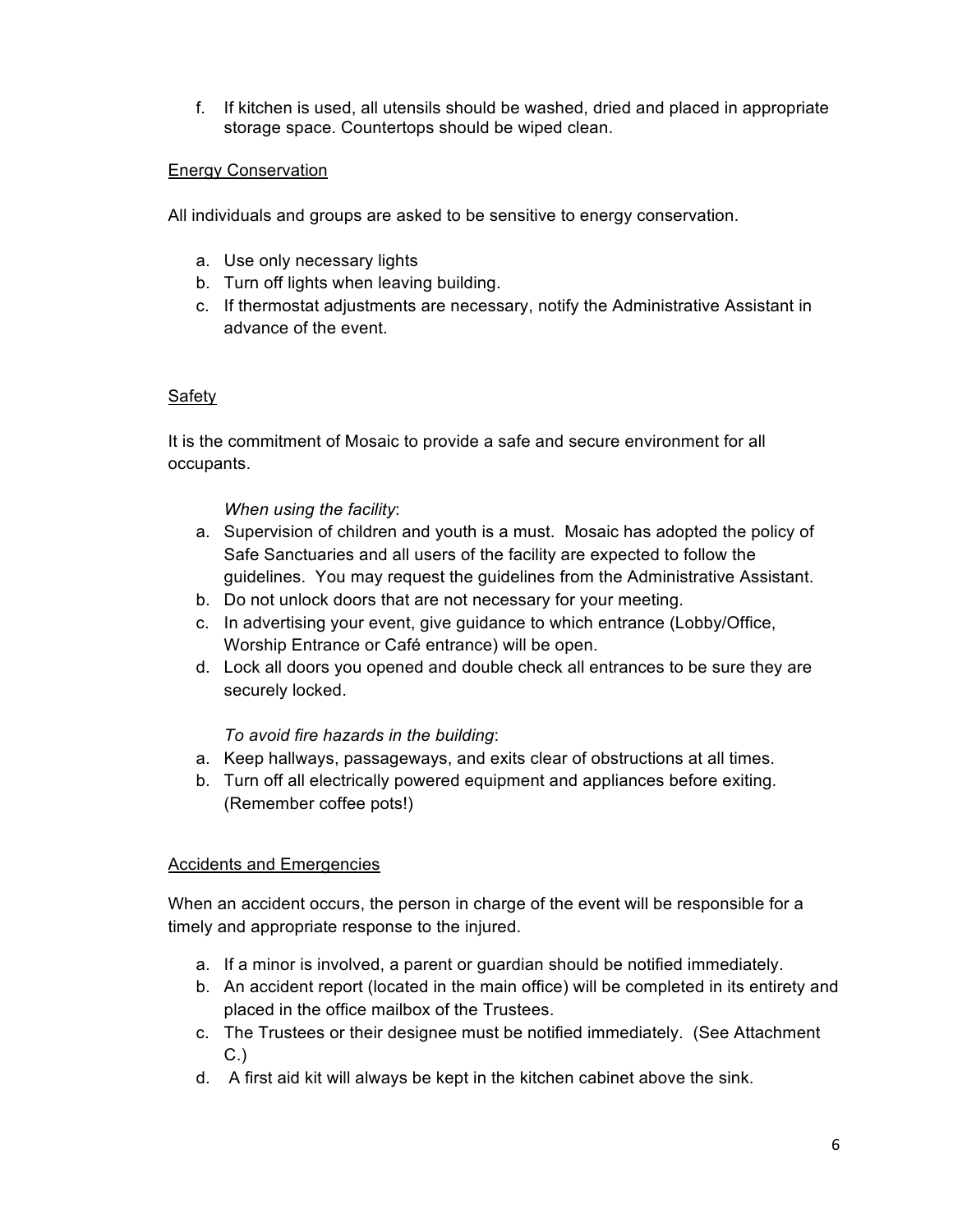f. If kitchen is used, all utensils should be washed, dried and placed in appropriate storage space. Countertops should be wiped clean.

## Energy Conservation

All individuals and groups are asked to be sensitive to energy conservation.

- a. Use only necessary lights
- b. Turn off lights when leaving building.
- c. If thermostat adjustments are necessary, notify the Administrative Assistant in advance of the event.

### Safety

It is the commitment of Mosaic to provide a safe and secure environment for all occupants.

### *When using the facility*:

- a. Supervision of children and youth is a must. Mosaic has adopted the policy of Safe Sanctuaries and all users of the facility are expected to follow the guidelines. You may request the guidelines from the Administrative Assistant.
- b. Do not unlock doors that are not necessary for your meeting.
- c. In advertising your event, give guidance to which entrance (Lobby/Office, Worship Entrance or Café entrance) will be open.
- d. Lock all doors you opened and double check all entrances to be sure they are securely locked.

### *To avoid fire hazards in the building*:

- a. Keep hallways, passageways, and exits clear of obstructions at all times.
- b. Turn off all electrically powered equipment and appliances before exiting. (Remember coffee pots!)

### Accidents and Emergencies

When an accident occurs, the person in charge of the event will be responsible for a timely and appropriate response to the injured.

- a. If a minor is involved, a parent or guardian should be notified immediately.
- b. An accident report (located in the main office) will be completed in its entirety and placed in the office mailbox of the Trustees.
- c. The Trustees or their designee must be notified immediately. (See Attachment C.)
- d. A first aid kit will always be kept in the kitchen cabinet above the sink.